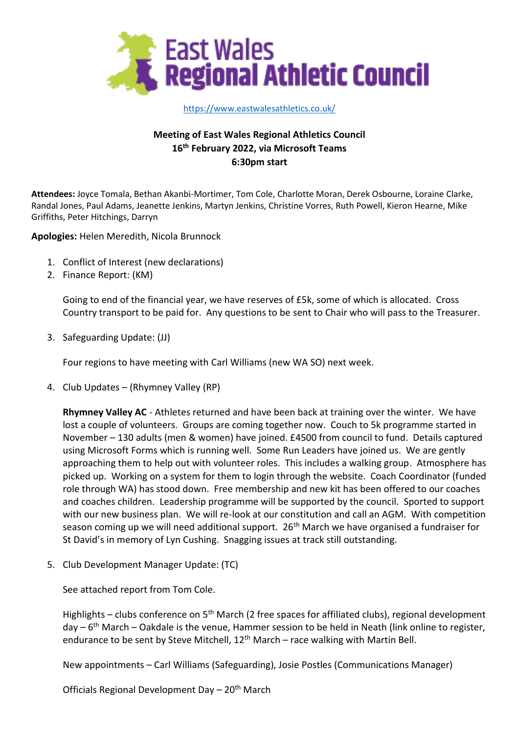

#### [https://www.eastwalesathletics.co.uk/](about:blank)

# **Meeting of East Wales Regional Athletics Council 16 th February 2022, via Microsoft Teams 6:30pm start**

**Attendees:** Joyce Tomala, Bethan Akanbi-Mortimer, Tom Cole, Charlotte Moran, Derek Osbourne, Loraine Clarke, Randal Jones, Paul Adams, Jeanette Jenkins, Martyn Jenkins, Christine Vorres, Ruth Powell, Kieron Hearne, Mike Griffiths, Peter Hitchings, Darryn

**Apologies:** Helen Meredith, Nicola Brunnock

- 1. Conflict of Interest (new declarations)
- 2. Finance Report: (KM)

Going to end of the financial year, we have reserves of £5k, some of which is allocated. Cross Country transport to be paid for. Any questions to be sent to Chair who will pass to the Treasurer.

3. Safeguarding Update: (JJ)

Four regions to have meeting with Carl Williams (new WA SO) next week.

4. Club Updates – (Rhymney Valley (RP)

**Rhymney Valley AC** - Athletes returned and have been back at training over the winter. We have lost a couple of volunteers. Groups are coming together now. Couch to 5k programme started in November – 130 adults (men & women) have joined. £4500 from council to fund. Details captured using Microsoft Forms which is running well. Some Run Leaders have joined us. We are gently approaching them to help out with volunteer roles. This includes a walking group. Atmosphere has picked up. Working on a system for them to login through the website. Coach Coordinator (funded role through WA) has stood down. Free membership and new kit has been offered to our coaches and coaches children. Leadership programme will be supported by the council. Sported to support with our new business plan. We will re-look at our constitution and call an AGM. With competition season coming up we will need additional support. 26<sup>th</sup> March we have organised a fundraiser for St David's in memory of Lyn Cushing. Snagging issues at track still outstanding.

5. Club Development Manager Update: (TC)

See attached report from Tom Cole.

Highlights – clubs conference on  $5<sup>th</sup>$  March (2 free spaces for affiliated clubs), regional development day – 6<sup>th</sup> March – Oakdale is the venue, Hammer session to be held in Neath (link online to register, endurance to be sent by Steve Mitchell,  $12<sup>th</sup>$  March – race walking with Martin Bell.

New appointments – Carl Williams (Safeguarding), Josie Postles (Communications Manager)

Officials Regional Development Day - 20<sup>th</sup> March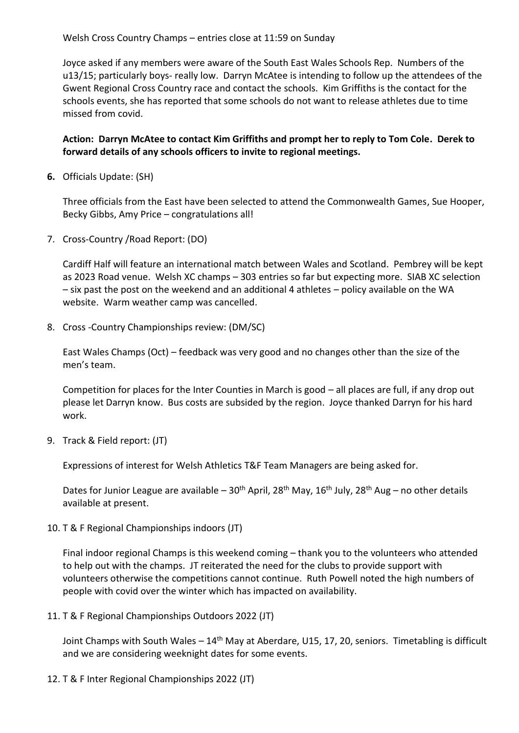Welsh Cross Country Champs – entries close at 11:59 on Sunday

Joyce asked if any members were aware of the South East Wales Schools Rep. Numbers of the u13/15; particularly boys- really low. Darryn McAtee is intending to follow up the attendees of the Gwent Regional Cross Country race and contact the schools. Kim Griffiths is the contact for the schools events, she has reported that some schools do not want to release athletes due to time missed from covid.

## **Action: Darryn McAtee to contact Kim Griffiths and prompt her to reply to Tom Cole. Derek to forward details of any schools officers to invite to regional meetings.**

**6.** Officials Update: (SH)

Three officials from the East have been selected to attend the Commonwealth Games, Sue Hooper, Becky Gibbs, Amy Price – congratulations all!

7. Cross-Country /Road Report: (DO)

Cardiff Half will feature an international match between Wales and Scotland. Pembrey will be kept as 2023 Road venue. Welsh XC champs – 303 entries so far but expecting more. SIAB XC selection – six past the post on the weekend and an additional 4 athletes – policy available on the WA website. Warm weather camp was cancelled.

8. Cross -Country Championships review: (DM/SC)

East Wales Champs (Oct) – feedback was very good and no changes other than the size of the men's team.

Competition for places for the Inter Counties in March is good – all places are full, if any drop out please let Darryn know. Bus costs are subsided by the region. Joyce thanked Darryn for his hard work.

9. Track & Field report: (JT)

Expressions of interest for Welsh Athletics T&F Team Managers are being asked for.

Dates for Junior League are available –  $30<sup>th</sup>$  April, 28<sup>th</sup> May, 16<sup>th</sup> July, 28<sup>th</sup> Aug – no other details available at present.

10. T & F Regional Championships indoors (JT)

Final indoor regional Champs is this weekend coming – thank you to the volunteers who attended to help out with the champs. JT reiterated the need for the clubs to provide support with volunteers otherwise the competitions cannot continue. Ruth Powell noted the high numbers of people with covid over the winter which has impacted on availability.

11. T & F Regional Championships Outdoors 2022 (JT)

Joint Champs with South Wales –  $14<sup>th</sup>$  May at Aberdare, U15, 17, 20, seniors. Timetabling is difficult and we are considering weeknight dates for some events.

12. T & F Inter Regional Championships 2022 (JT)